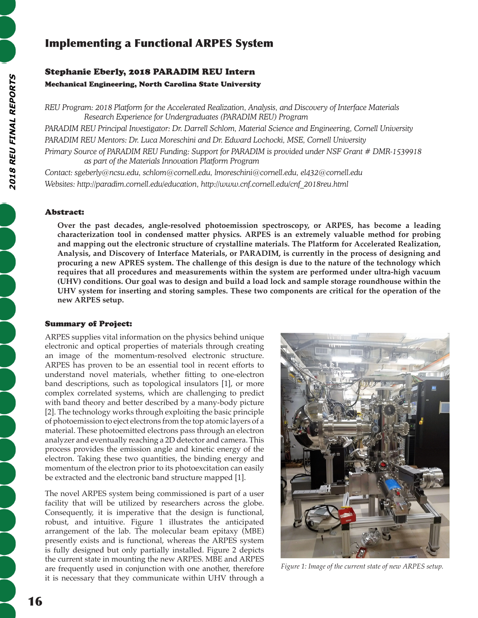# Implementing a Functional ARPES System

# Stephanie Eberly, 2018 PARADIM REU Intern Mechanical Engineering, North Carolina State University

*REU Program: 2018 Platform for the Accelerated Realization, Analysis, and Discovery of Interface Materials Research Experience for Undergraduates (PARADIM REU) Program*

*PARADIM REU Principal Investigator: Dr. Darrell Schlom, Material Science and Engineering, Cornell University PARADIM REU Mentors: Dr. Luca Moreschini and Dr. Edward Lochocki, MSE, Cornell University*

*Primary Source of PARADIM REU Funding: Support for PARADIM is provided under NSF Grant # DMR-1539918 as part of the Materials Innovation Platform Program*

*Contact: sgeberly@ncsu.edu, schlom@cornell.edu, lmoreschini@cornell.edu, el432@cornell.edu Websites: http://paradim.cornell.edu/education, http://www.cnf.cornell.edu/cnf\_2018reu.html*

# Abstract:

**Over the past decades, angle-resolved photoemission spectroscopy, or ARPES, has become a leading characterization tool in condensed matter physics. ARPES is an extremely valuable method for probing and mapping out the electronic structure of crystalline materials. The Platform for Accelerated Realization, Analysis, and Discovery of Interface Materials, or PARADIM, is currently in the process of designing and procuring a new APRES system. The challenge of this design is due to the nature of the technology which requires that all procedures and measurements within the system are performed under ultra-high vacuum (UHV) conditions. Our goal was to design and build a load lock and sample storage roundhouse within the UHV system for inserting and storing samples. These two components are critical for the operation of the new ARPES setup.**

## Summary of Project:

ARPES supplies vital information on the physics behind unique electronic and optical properties of materials through creating an image of the momentum-resolved electronic structure. ARPES has proven to be an essential tool in recent efforts to understand novel materials, whether fitting to one-electron band descriptions, such as topological insulators [1], or more complex correlated systems, which are challenging to predict with band theory and better described by a many-body picture [2]. The technology works through exploiting the basic principle of photoemission to eject electrons from the top atomic layers of a material. These photoemitted electrons pass through an electron analyzer and eventually reaching a 2D detector and camera. This process provides the emission angle and kinetic energy of the electron. Taking these two quantities, the binding energy and momentum of the electron prior to its photoexcitation can easily be extracted and the electronic band structure mapped [1].

The novel ARPES system being commissioned is part of a user facility that will be utilized by researchers across the globe. Consequently, it is imperative that the design is functional, robust, and intuitive. Figure 1 illustrates the anticipated arrangement of the lab. The molecular beam epitaxy (MBE) presently exists and is functional, whereas the ARPES system is fully designed but only partially installed. Figure 2 depicts the current state in mounting the new ARPES. MBE and ARPES are frequently used in conjunction with one another, therefore it is necessary that they communicate within UHV through a



*Figure 1: Image of the current state of new ARPES setup.*